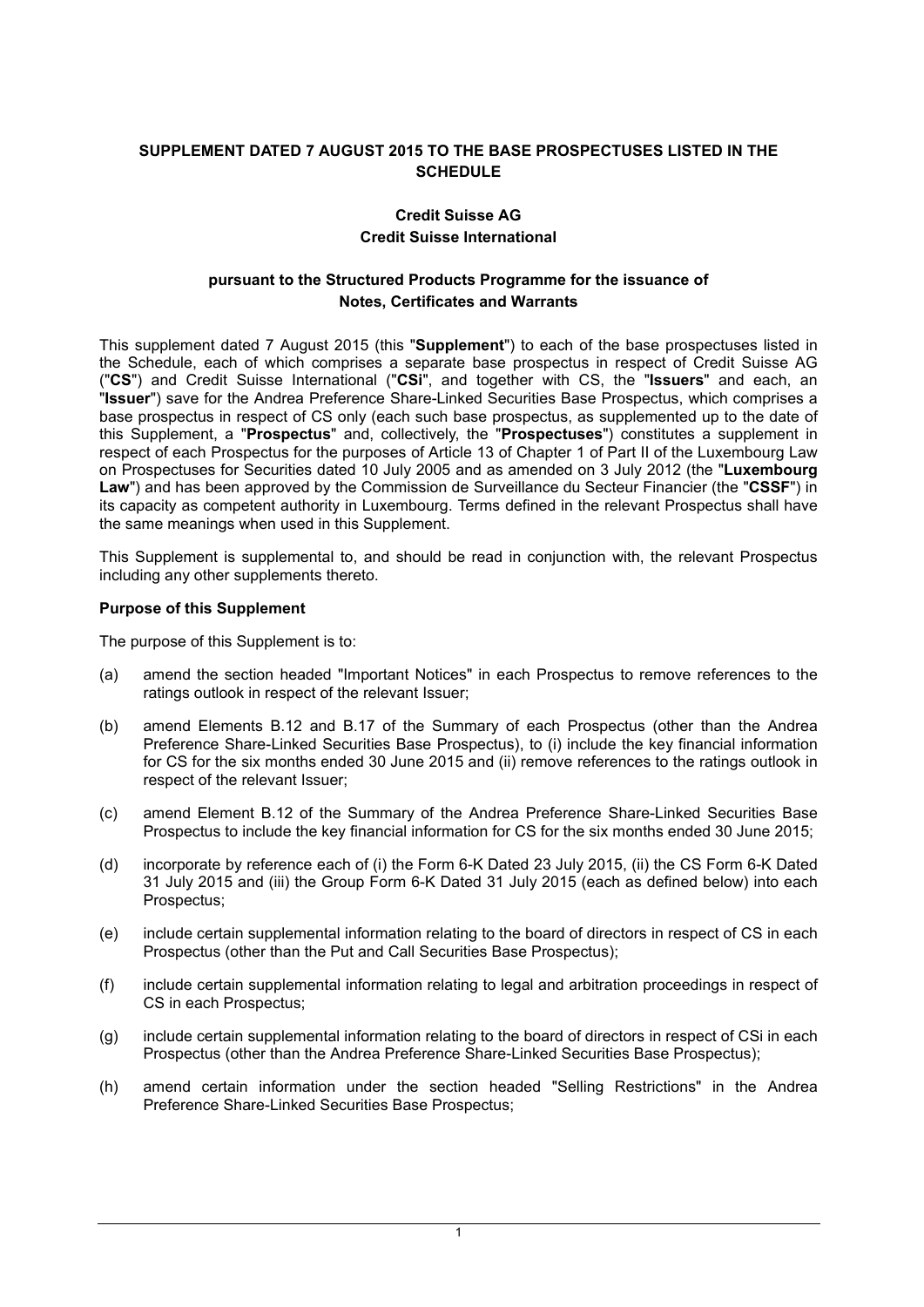# **SUPPLEMENT DATED 7 AUGUST 2015 TO THE BASE PROSPECTUSES LISTED IN THE SCHEDULE**

# **Credit Suisse AG Credit Suisse International**

# **pursuant to the Structured Products Programme for the issuance of Notes, Certificates and Warrants**

This supplement dated 7 August 2015 (this "**Supplement**") to each of the base prospectuses listed in the Schedule, each of which comprises a separate base prospectus in respect of Credit Suisse AG ("**CS**") and Credit Suisse International ("**CSi**", and together with CS, the "**Issuers**" and each, an "**Issuer**") save for the Andrea Preference Share-Linked Securities Base Prospectus, which comprises a base prospectus in respect of CS only (each such base prospectus, as supplemented up to the date of this Supplement, a "**Prospectus**" and, collectively, the "**Prospectuses**") constitutes a supplement in respect of each Prospectus for the purposes of Article 13 of Chapter 1 of Part II of the Luxembourg Law on Prospectuses for Securities dated 10 July 2005 and as amended on 3 July 2012 (the "**Luxembourg Law**") and has been approved by the Commission de Surveillance du Secteur Financier (the "**CSSF**") in its capacity as competent authority in Luxembourg. Terms defined in the relevant Prospectus shall have the same meanings when used in this Supplement.

This Supplement is supplemental to, and should be read in conjunction with, the relevant Prospectus including any other supplements thereto.

#### **Purpose of this Supplement**

The purpose of this Supplement is to:

- (a) amend the section headed "Important Notices" in each Prospectus to remove references to the ratings outlook in respect of the relevant Issuer;
- (b) amend Elements B.12 and B.17 of the Summary of each Prospectus (other than the Andrea Preference Share-Linked Securities Base Prospectus), to (i) include the key financial information for CS for the six months ended 30 June 2015 and (ii) remove references to the ratings outlook in respect of the relevant Issuer;
- (c) amend Element B.12 of the Summary of the Andrea Preference Share-Linked Securities Base Prospectus to include the key financial information for CS for the six months ended 30 June 2015;
- (d) incorporate by reference each of (i) the Form 6-K Dated 23 July 2015, (ii) the CS Form 6-K Dated 31 July 2015 and (iii) the Group Form 6-K Dated 31 July 2015 (each as defined below) into each Prospectus;
- (e) include certain supplemental information relating to the board of directors in respect of CS in each Prospectus (other than the Put and Call Securities Base Prospectus);
- (f) include certain supplemental information relating to legal and arbitration proceedings in respect of CS in each Prospectus;
- (g) include certain supplemental information relating to the board of directors in respect of CSi in each Prospectus (other than the Andrea Preference Share-Linked Securities Base Prospectus);
- (h) amend certain information under the section headed "Selling Restrictions" in the Andrea Preference Share-Linked Securities Base Prospectus;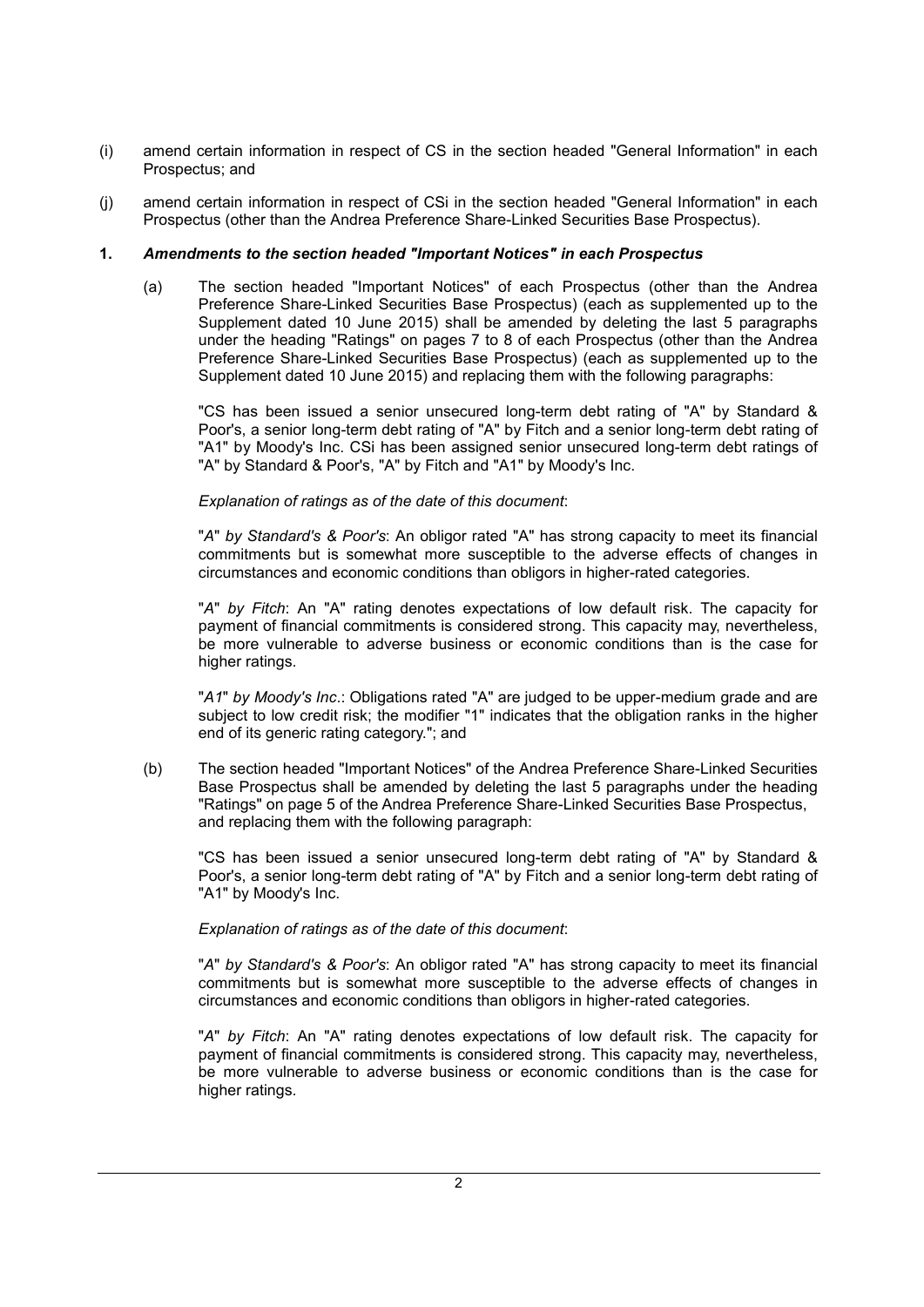- (i) amend certain information in respect of CS in the section headed "General Information" in each Prospectus; and
- (j) amend certain information in respect of CSi in the section headed "General Information" in each Prospectus (other than the Andrea Preference Share-Linked Securities Base Prospectus).

# **1.** *Amendments to the section headed "Important Notices" in each Prospectus*

(a) The section headed "Important Notices" of each Prospectus (other than the Andrea Preference Share-Linked Securities Base Prospectus) (each as supplemented up to the Supplement dated 10 June 2015) shall be amended by deleting the last 5 paragraphs under the heading "Ratings" on pages 7 to 8 of each Prospectus (other than the Andrea Preference Share-Linked Securities Base Prospectus) (each as supplemented up to the Supplement dated 10 June 2015) and replacing them with the following paragraphs:

"CS has been issued a senior unsecured long-term debt rating of "A" by Standard & Poor's, a senior long-term debt rating of "A" by Fitch and a senior long-term debt rating of "A1" by Moody's Inc. CSi has been assigned senior unsecured long-term debt ratings of "A" by Standard & Poor's, "A" by Fitch and "A1" by Moody's Inc.

## *Explanation of ratings as of the date of this document*:

"*A*" *by Standard's & Poor's*: An obligor rated "A" has strong capacity to meet its financial commitments but is somewhat more susceptible to the adverse effects of changes in circumstances and economic conditions than obligors in higher-rated categories.

"*A*" *by Fitch*: An "A" rating denotes expectations of low default risk. The capacity for payment of financial commitments is considered strong. This capacity may, nevertheless, be more vulnerable to adverse business or economic conditions than is the case for higher ratings.

"*A1*" *by Moody's Inc*.: Obligations rated "A" are judged to be upper-medium grade and are subject to low credit risk; the modifier "1" indicates that the obligation ranks in the higher end of its generic rating category."; and

(b) The section headed "Important Notices" of the Andrea Preference Share-Linked Securities Base Prospectus shall be amended by deleting the last 5 paragraphs under the heading "Ratings" on page 5 of the Andrea Preference Share-Linked Securities Base Prospectus, and replacing them with the following paragraph:

"CS has been issued a senior unsecured long-term debt rating of "A" by Standard & Poor's, a senior long-term debt rating of "A" by Fitch and a senior long-term debt rating of "A1" by Moody's Inc.

## *Explanation of ratings as of the date of this document*:

"*A*" *by Standard's & Poor's*: An obligor rated "A" has strong capacity to meet its financial commitments but is somewhat more susceptible to the adverse effects of changes in circumstances and economic conditions than obligors in higher-rated categories.

"*A*" *by Fitch*: An "A" rating denotes expectations of low default risk. The capacity for payment of financial commitments is considered strong. This capacity may, nevertheless, be more vulnerable to adverse business or economic conditions than is the case for higher ratings.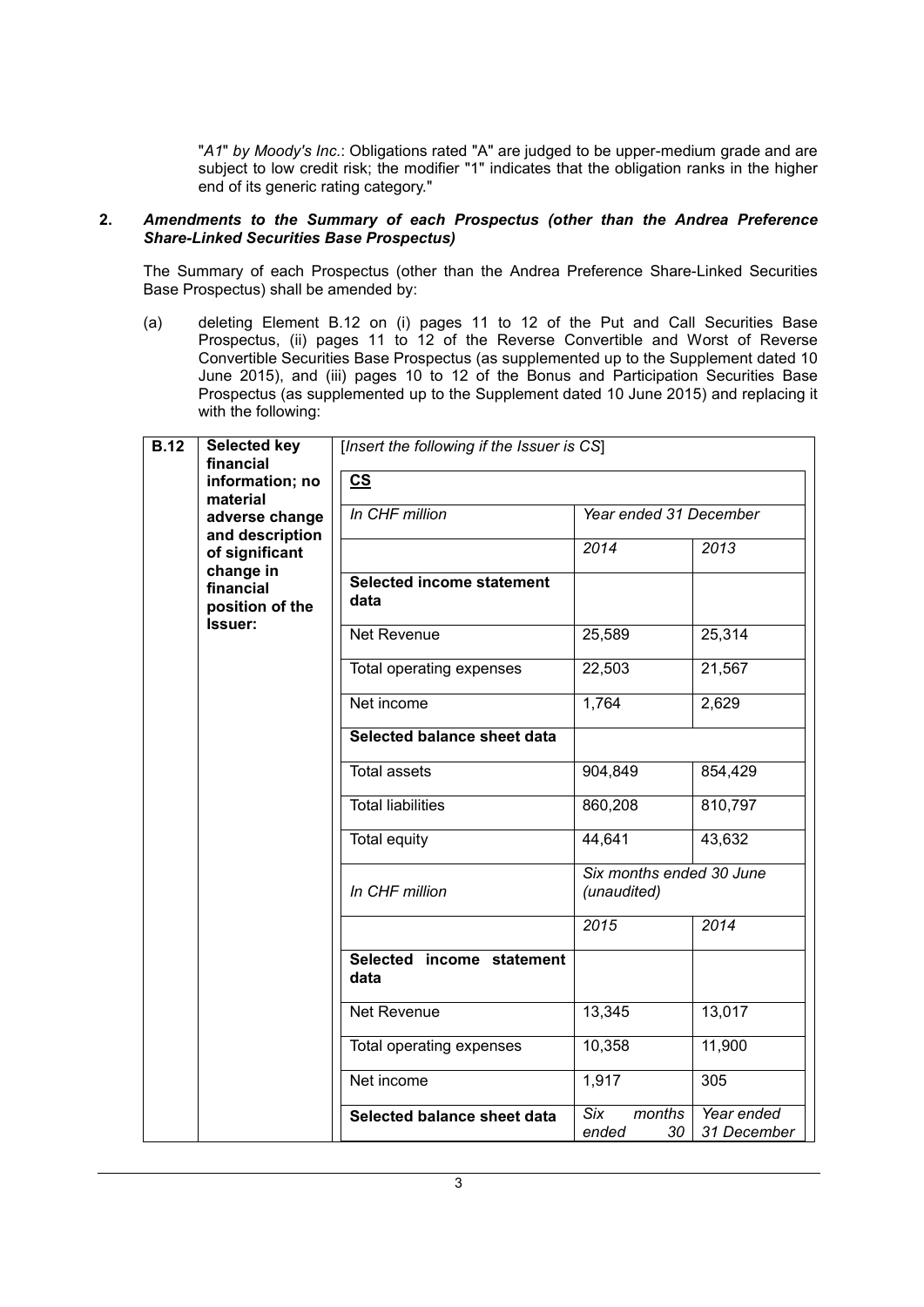"*A1*" *by Moody's Inc.*: Obligations rated "A" are judged to be upper-medium grade and are subject to low credit risk; the modifier "1" indicates that the obligation ranks in the higher end of its generic rating category."

#### **2.** *Amendments to the Summary of each Prospectus (other than the Andrea Preference Share-Linked Securities Base Prospectus)*

The Summary of each Prospectus (other than the Andrea Preference Share-Linked Securities Base Prospectus) shall be amended by:

(a) deleting Element B.12 on (i) pages 11 to 12 of the Put and Call Securities Base Prospectus, (ii) pages 11 to 12 of the Reverse Convertible and Worst of Reverse Convertible Securities Base Prospectus (as supplemented up to the Supplement dated 10 June 2015), and (iii) pages 10 to 12 of the Bonus and Participation Securities Base Prospectus (as supplemented up to the Supplement dated 10 June 2015) and replacing it with the following:

| <b>B.12</b>                       | <b>Selected key</b><br>financial | [Insert the following if the Issuer is CS] |                                         |                           |  |
|-----------------------------------|----------------------------------|--------------------------------------------|-----------------------------------------|---------------------------|--|
|                                   | information; no<br>material      | $\mathbf{c}\mathbf{s}$                     |                                         |                           |  |
| adverse change<br>and description |                                  | In CHF million                             | Year ended 31 December                  |                           |  |
|                                   | of significant<br>change in      |                                            | 2014                                    | 2013                      |  |
| financial<br>position of the      |                                  | Selected income statement<br>data          |                                         |                           |  |
|                                   | Issuer:                          | Net Revenue                                | 25,589                                  | 25,314                    |  |
|                                   |                                  | Total operating expenses                   | 22,503                                  | 21,567                    |  |
|                                   |                                  | Net income                                 | 1,764                                   | 2,629                     |  |
|                                   |                                  | Selected balance sheet data                |                                         |                           |  |
|                                   |                                  | <b>Total assets</b>                        | 904,849                                 | 854,429                   |  |
|                                   |                                  | <b>Total liabilities</b>                   | 860,208                                 | 810,797                   |  |
|                                   |                                  | <b>Total equity</b>                        | 44,641                                  | 43,632                    |  |
|                                   |                                  | In CHF million                             | Six months ended 30 June<br>(unaudited) |                           |  |
|                                   |                                  |                                            | 2015                                    | 2014                      |  |
|                                   |                                  | Selected income statement<br>data          |                                         |                           |  |
|                                   |                                  | Net Revenue                                | 13,345                                  | 13,017                    |  |
|                                   |                                  | Total operating expenses                   | 10,358                                  | 11,900                    |  |
|                                   |                                  | Net income                                 | 1,917                                   | 305                       |  |
|                                   |                                  | Selected balance sheet data                | Six<br>months<br>30<br>ended            | Year ended<br>31 December |  |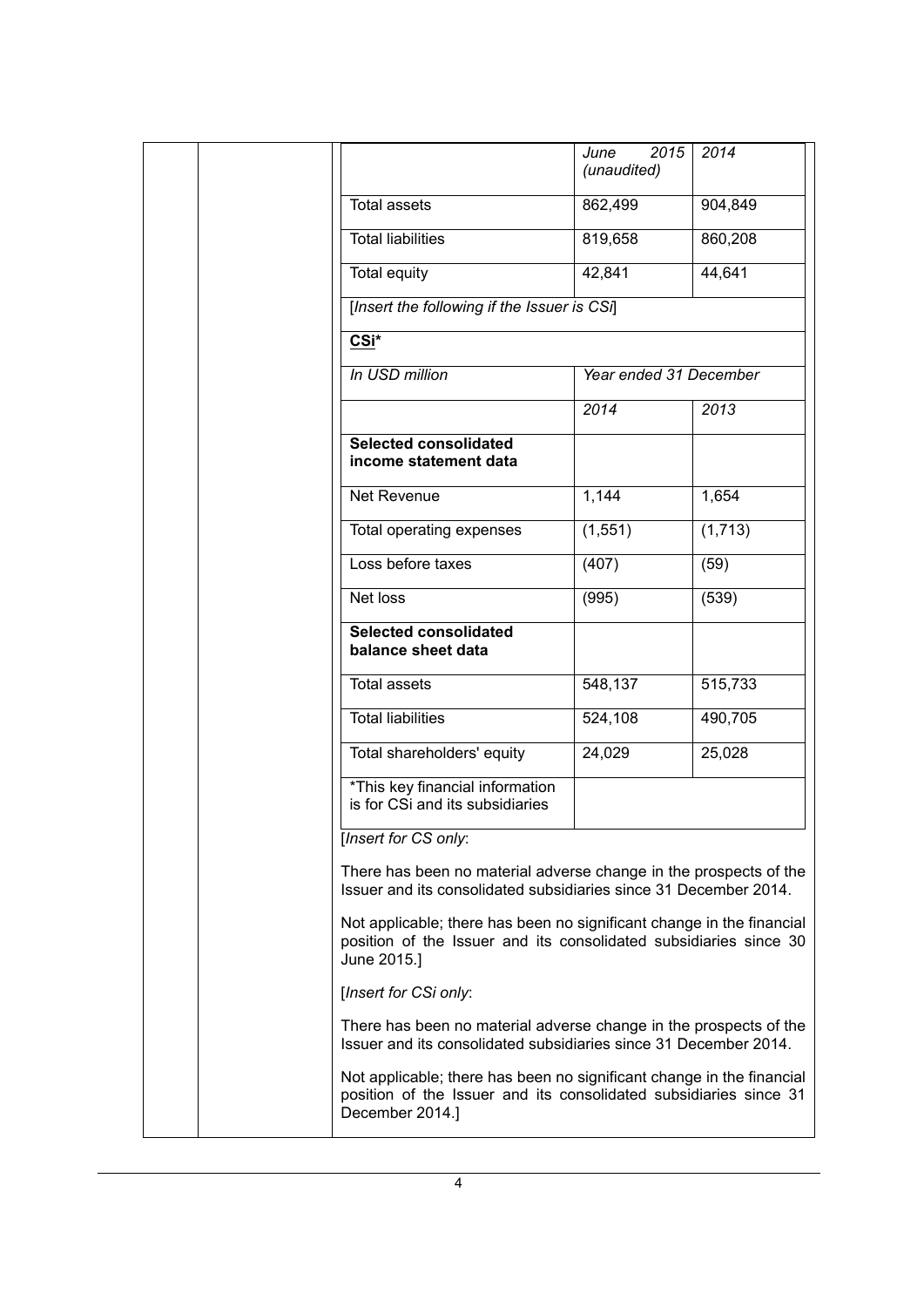|                                                                                                                                                               | 2015<br>June<br>(unaudited) | 2014     |  |
|---------------------------------------------------------------------------------------------------------------------------------------------------------------|-----------------------------|----------|--|
| <b>Total assets</b>                                                                                                                                           | 862,499                     | 904,849  |  |
| <b>Total liabilities</b>                                                                                                                                      |                             | 860,208  |  |
| <b>Total equity</b>                                                                                                                                           | 42,841                      | 44,641   |  |
| [Insert the following if the Issuer is CSi]                                                                                                                   |                             |          |  |
| CSi*                                                                                                                                                          |                             |          |  |
| In USD million                                                                                                                                                | Year ended 31 December      |          |  |
|                                                                                                                                                               | 2014                        | 2013     |  |
| <b>Selected consolidated</b><br>income statement data                                                                                                         |                             |          |  |
| Net Revenue                                                                                                                                                   | 1,144                       | 1,654    |  |
| Total operating expenses                                                                                                                                      | (1, 551)                    | (1, 713) |  |
| Loss before taxes                                                                                                                                             | (407)                       | (59)     |  |
| Net loss                                                                                                                                                      | (995)                       | (539)    |  |
| <b>Selected consolidated</b><br>balance sheet data                                                                                                            |                             |          |  |
| <b>Total assets</b>                                                                                                                                           | 548,137                     | 515,733  |  |
| <b>Total liabilities</b>                                                                                                                                      | 524,108                     | 490,705  |  |
| Total shareholders' equity                                                                                                                                    | 24,029                      | 25,028   |  |
| *This key financial information<br>is for CSi and its subsidiaries                                                                                            |                             |          |  |
| <b>Insert for CS only:</b>                                                                                                                                    |                             |          |  |
| There has been no material adverse change in the prospects of the<br>Issuer and its consolidated subsidiaries since 31 December 2014.                         |                             |          |  |
| Not applicable; there has been no significant change in the financial<br>position of the Issuer and its consolidated subsidiaries since 30<br>June 2015.]     |                             |          |  |
| [Insert for CSi only:                                                                                                                                         |                             |          |  |
| There has been no material adverse change in the prospects of the<br>Issuer and its consolidated subsidiaries since 31 December 2014.                         |                             |          |  |
| Not applicable; there has been no significant change in the financial<br>position of the Issuer and its consolidated subsidiaries since 31<br>December 2014.] |                             |          |  |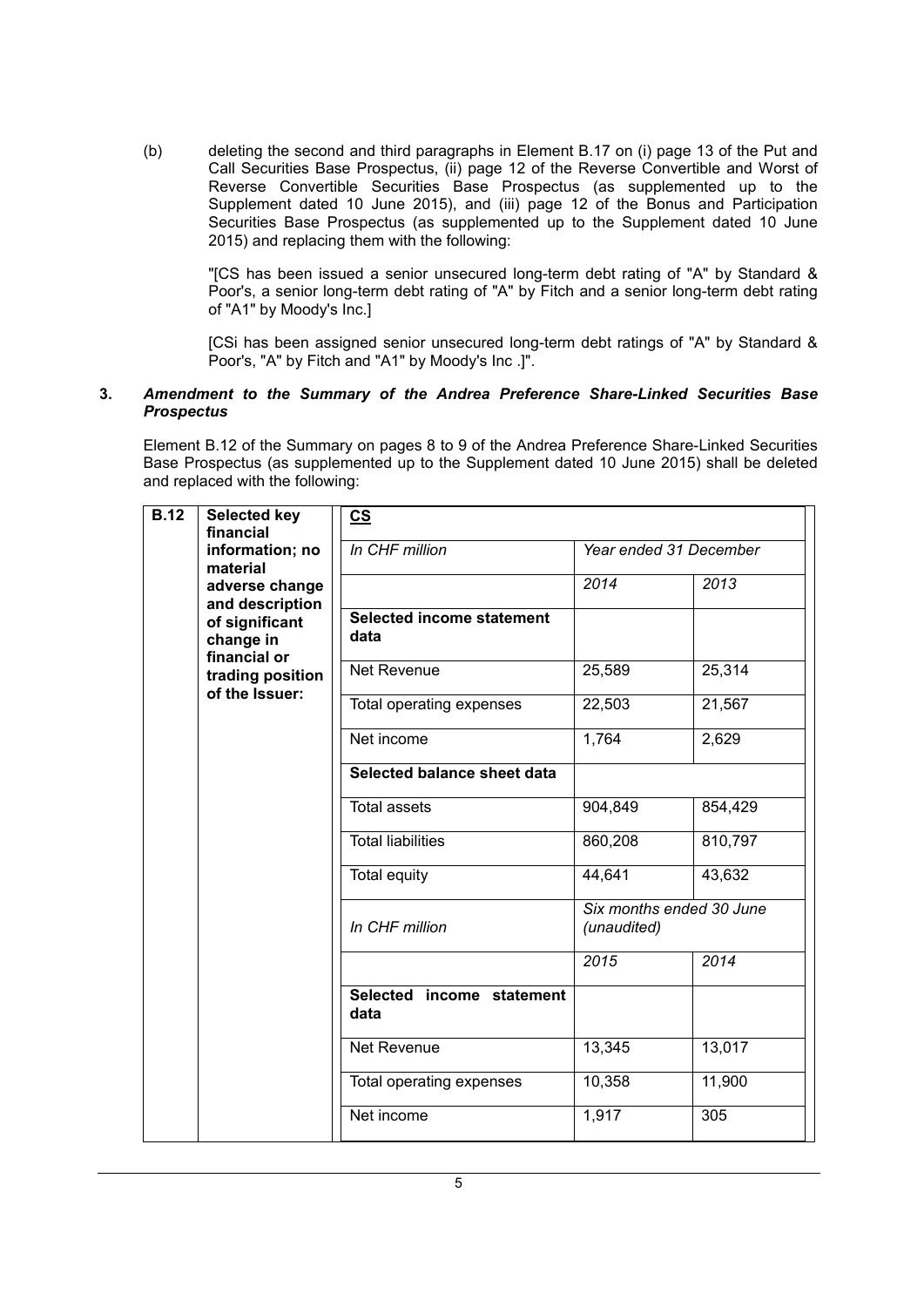(b) deleting the second and third paragraphs in Element B.17 on (i) page 13 of the Put and Call Securities Base Prospectus, (ii) page 12 of the Reverse Convertible and Worst of Reverse Convertible Securities Base Prospectus (as supplemented up to the Supplement dated 10 June 2015), and (iii) page 12 of the Bonus and Participation Securities Base Prospectus (as supplemented up to the Supplement dated 10 June 2015) and replacing them with the following:

"[CS has been issued a senior unsecured long-term debt rating of "A" by Standard & Poor's, a senior long-term debt rating of "A" by Fitch and a senior long-term debt rating of "A1" by Moody's Inc.]

[CSi has been assigned senior unsecured long-term debt ratings of "A" by Standard & Poor's, "A" by Fitch and "A1" by Moody's Inc .]".

#### **3.** *Amendment to the Summary of the Andrea Preference Share-Linked Securities Base Prospectus*

Element B.12 of the Summary on pages 8 to 9 of the Andrea Preference Share-Linked Securities Base Prospectus (as supplemented up to the Supplement dated 10 June 2015) shall be deleted and replaced with the following:

| <b>B.12</b>                 | <b>Selected key</b><br>financial            | $\underline{\mathbf{c}}$                 |                                         |         |
|-----------------------------|---------------------------------------------|------------------------------------------|-----------------------------------------|---------|
| information; no<br>material |                                             | In CHF million                           | Year ended 31 December                  |         |
|                             | adverse change<br>and description           |                                          | 2014                                    | 2013    |
|                             | of significant<br>change in<br>financial or | <b>Selected income statement</b><br>data |                                         |         |
|                             | trading position<br>of the Issuer:          | Net Revenue                              | 25,589                                  | 25,314  |
|                             |                                             | Total operating expenses                 | 22,503                                  | 21,567  |
|                             |                                             | Net income                               | 1,764                                   | 2,629   |
|                             |                                             | Selected balance sheet data              |                                         |         |
|                             |                                             | <b>Total assets</b>                      | 904,849                                 | 854,429 |
|                             |                                             | <b>Total liabilities</b>                 | 860,208                                 | 810,797 |
|                             |                                             | <b>Total equity</b>                      | 44,641                                  | 43,632  |
|                             |                                             | In CHF million                           | Six months ended 30 June<br>(unaudited) |         |
|                             |                                             |                                          | 2015                                    | 2014    |
|                             |                                             | Selected income statement<br>data        |                                         |         |
|                             |                                             | Net Revenue                              | 13,345                                  | 13,017  |
|                             |                                             | Total operating expenses                 | 10,358                                  | 11,900  |
|                             |                                             | Net income                               | 1,917                                   | 305     |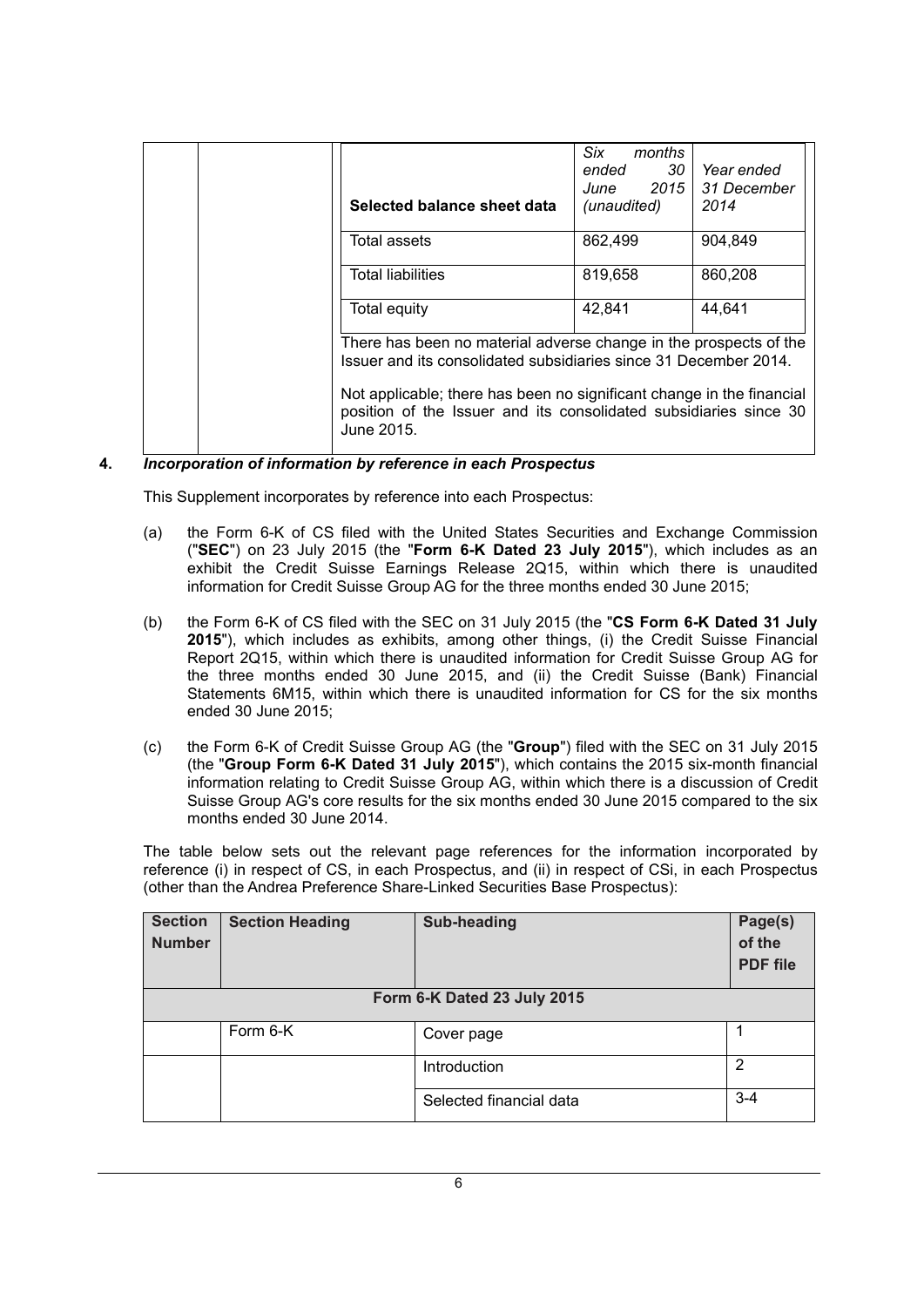|                                                                                                                                       | Selected balance sheet data                                                                                                                              | Six<br>months<br>30<br>ended<br>June 2015<br>(unaudited) | Year ended<br>31 December<br>2014 |
|---------------------------------------------------------------------------------------------------------------------------------------|----------------------------------------------------------------------------------------------------------------------------------------------------------|----------------------------------------------------------|-----------------------------------|
|                                                                                                                                       | Total assets                                                                                                                                             | 862,499                                                  | 904.849                           |
|                                                                                                                                       | <b>Total liabilities</b>                                                                                                                                 | 819,658                                                  | 860.208                           |
|                                                                                                                                       | Total equity                                                                                                                                             | 42.841                                                   | 44.641                            |
| There has been no material adverse change in the prospects of the<br>Issuer and its consolidated subsidiaries since 31 December 2014. |                                                                                                                                                          |                                                          |                                   |
|                                                                                                                                       | Not applicable; there has been no significant change in the financial<br>position of the Issuer and its consolidated subsidiaries since 30<br>June 2015. |                                                          |                                   |

# **4.** *Incorporation of information by reference in each Prospectus*

This Supplement incorporates by reference into each Prospectus:

- (a) the Form 6-K of CS filed with the United States Securities and Exchange Commission ("**SEC**") on 23 July 2015 (the "**Form 6-K Dated 23 July 2015**"), which includes as an exhibit the Credit Suisse Earnings Release 2Q15, within which there is unaudited information for Credit Suisse Group AG for the three months ended 30 June 2015;
- (b) the Form 6-K of CS filed with the SEC on 31 July 2015 (the "**CS Form 6-K Dated 31 July 2015**"), which includes as exhibits, among other things, (i) the Credit Suisse Financial Report 2Q15, within which there is unaudited information for Credit Suisse Group AG for the three months ended 30 June 2015, and (ii) the Credit Suisse (Bank) Financial Statements 6M15, within which there is unaudited information for CS for the six months ended 30 June 2015;
- (c) the Form 6-K of Credit Suisse Group AG (the "**Group**") filed with the SEC on 31 July 2015 (the "**Group Form 6-K Dated 31 July 2015**"), which contains the 2015 six-month financial information relating to Credit Suisse Group AG, within which there is a discussion of Credit Suisse Group AG's core results for the six months ended 30 June 2015 compared to the six months ended 30 June 2014.

The table below sets out the relevant page references for the information incorporated by reference (i) in respect of CS, in each Prospectus, and (ii) in respect of CSi, in each Prospectus (other than the Andrea Preference Share-Linked Securities Base Prospectus):

| <b>Section</b><br><b>Number</b> | <b>Section Heading</b> | <b>Sub-heading</b>          | Page(s)<br>of the<br><b>PDF</b> file |
|---------------------------------|------------------------|-----------------------------|--------------------------------------|
|                                 |                        | Form 6-K Dated 23 July 2015 |                                      |
|                                 | Form 6-K               | Cover page                  |                                      |
|                                 |                        | Introduction                | $\overline{2}$                       |
|                                 |                        | Selected financial data     | $3 - 4$                              |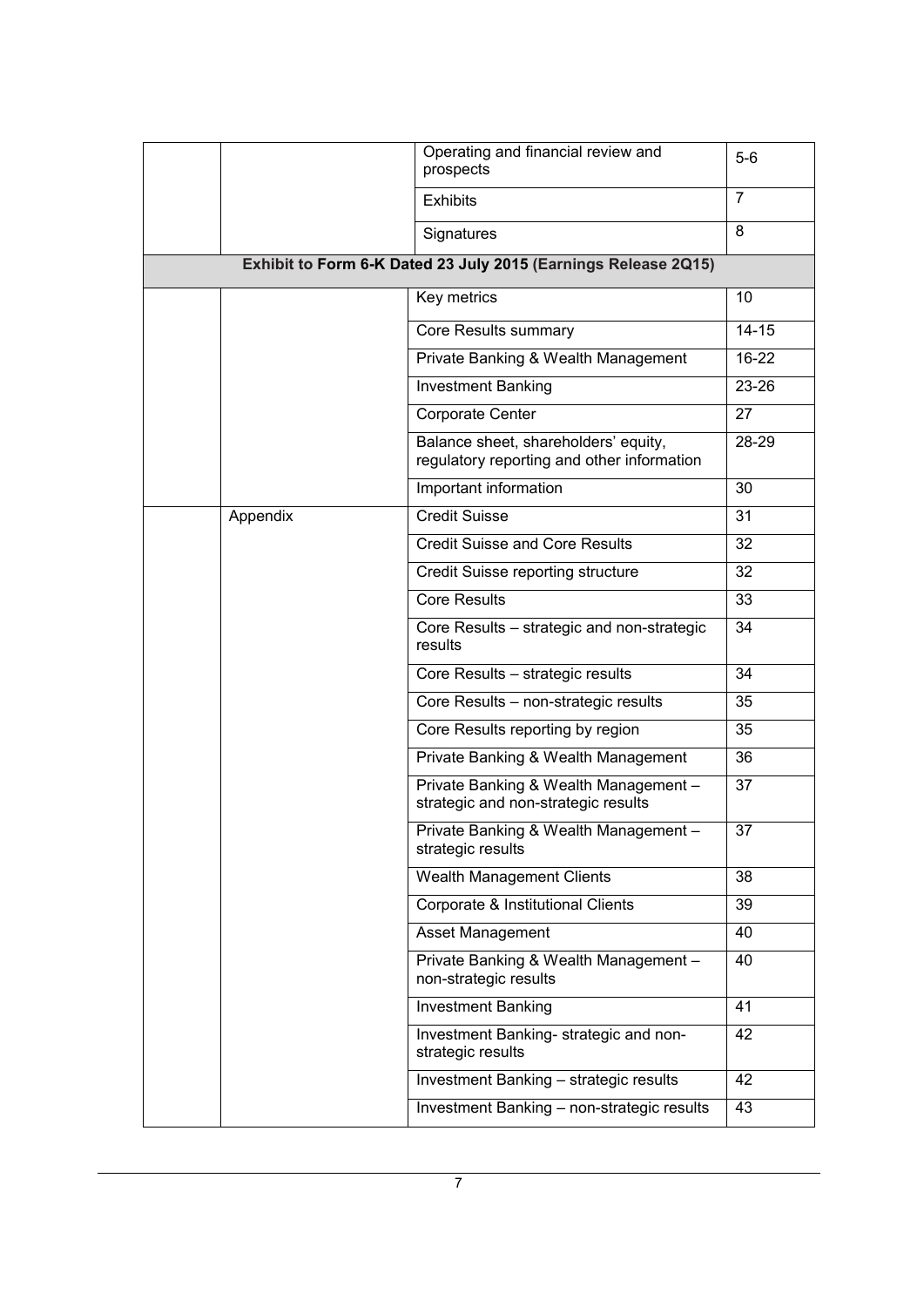|          | Operating and financial review and<br>prospects                                    | $5-6$          |  |  |  |
|----------|------------------------------------------------------------------------------------|----------------|--|--|--|
|          | <b>Exhibits</b>                                                                    | $\overline{7}$ |  |  |  |
|          | Signatures                                                                         | 8              |  |  |  |
|          | Exhibit to Form 6-K Dated 23 July 2015 (Earnings Release 2Q15)                     |                |  |  |  |
|          | Key metrics                                                                        | 10             |  |  |  |
|          | Core Results summary                                                               | $14 - 15$      |  |  |  |
|          | Private Banking & Wealth Management                                                | $16 - 22$      |  |  |  |
|          | <b>Investment Banking</b>                                                          | 23-26          |  |  |  |
|          | Corporate Center                                                                   | 27             |  |  |  |
|          | Balance sheet, shareholders' equity,<br>regulatory reporting and other information | 28-29          |  |  |  |
|          | Important information                                                              | 30             |  |  |  |
| Appendix | <b>Credit Suisse</b>                                                               | 31             |  |  |  |
|          | <b>Credit Suisse and Core Results</b>                                              | 32             |  |  |  |
|          | Credit Suisse reporting structure                                                  | 32             |  |  |  |
|          | <b>Core Results</b>                                                                | 33             |  |  |  |
|          | Core Results - strategic and non-strategic<br>results                              | 34             |  |  |  |
|          | Core Results - strategic results                                                   | 34             |  |  |  |
|          | Core Results - non-strategic results                                               | 35             |  |  |  |
|          | Core Results reporting by region                                                   | 35             |  |  |  |
|          | Private Banking & Wealth Management                                                | 36             |  |  |  |
|          | Private Banking & Wealth Management -<br>strategic and non-strategic results       | 37             |  |  |  |
|          | Private Banking & Wealth Management -<br>strategic results                         | 37             |  |  |  |
|          | Wealth Management Clients                                                          | 38             |  |  |  |
|          | Corporate & Institutional Clients                                                  | 39             |  |  |  |
|          | Asset Management                                                                   | 40             |  |  |  |
|          | Private Banking & Wealth Management -<br>non-strategic results                     | 40             |  |  |  |
|          | <b>Investment Banking</b>                                                          | 41             |  |  |  |
|          | Investment Banking- strategic and non-<br>strategic results                        | 42             |  |  |  |
|          | Investment Banking - strategic results                                             | 42             |  |  |  |
|          | Investment Banking - non-strategic results                                         | 43             |  |  |  |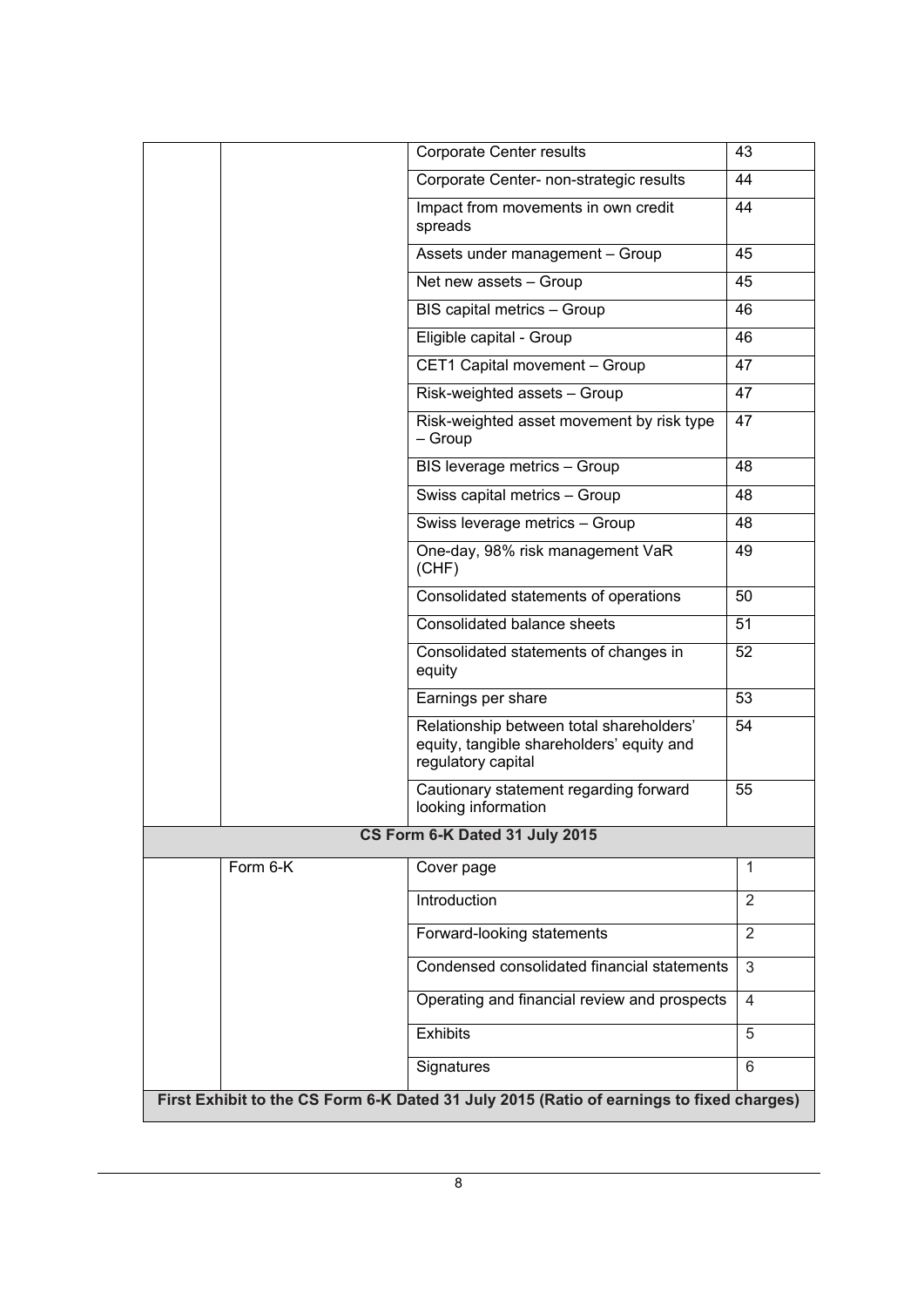|          | Corporate Center results                                                                                    | 43             |
|----------|-------------------------------------------------------------------------------------------------------------|----------------|
|          | Corporate Center- non-strategic results                                                                     | 44             |
|          | Impact from movements in own credit<br>spreads                                                              | 44             |
|          | Assets under management - Group                                                                             | 45             |
|          | Net new assets - Group                                                                                      | 45             |
|          | BIS capital metrics - Group                                                                                 | 46             |
|          | Eligible capital - Group                                                                                    | 46             |
|          | CET1 Capital movement - Group                                                                               | 47             |
|          | Risk-weighted assets - Group                                                                                | 47             |
|          | Risk-weighted asset movement by risk type<br>– Group                                                        | 47             |
|          | BIS leverage metrics - Group                                                                                | 48             |
|          | Swiss capital metrics - Group                                                                               | 48             |
|          | Swiss leverage metrics - Group                                                                              | 48             |
|          | One-day, 98% risk management VaR<br>(CHF)                                                                   | 49             |
|          | Consolidated statements of operations                                                                       | 50             |
|          | Consolidated balance sheets                                                                                 | 51             |
|          | Consolidated statements of changes in<br>equity                                                             | 52             |
|          | Earnings per share                                                                                          | 53             |
|          | Relationship between total shareholders'<br>equity, tangible shareholders' equity and<br>regulatory capital | 54             |
|          | Cautionary statement regarding forward<br>looking information                                               | 55             |
|          | CS Form 6-K Dated 31 July 2015                                                                              |                |
| Form 6-K | Cover page                                                                                                  | 1              |
|          | Introduction                                                                                                | $\overline{2}$ |
|          | Forward-looking statements                                                                                  | $\overline{2}$ |
|          | Condensed consolidated financial statements                                                                 | 3              |
|          | Operating and financial review and prospects                                                                | 4              |
|          | <b>Exhibits</b>                                                                                             | 5              |
|          | Signatures                                                                                                  | 6              |
|          | First Exhibit to the CS Form 6-K Dated 31 July 2015 (Ratio of earnings to fixed charges)                    |                |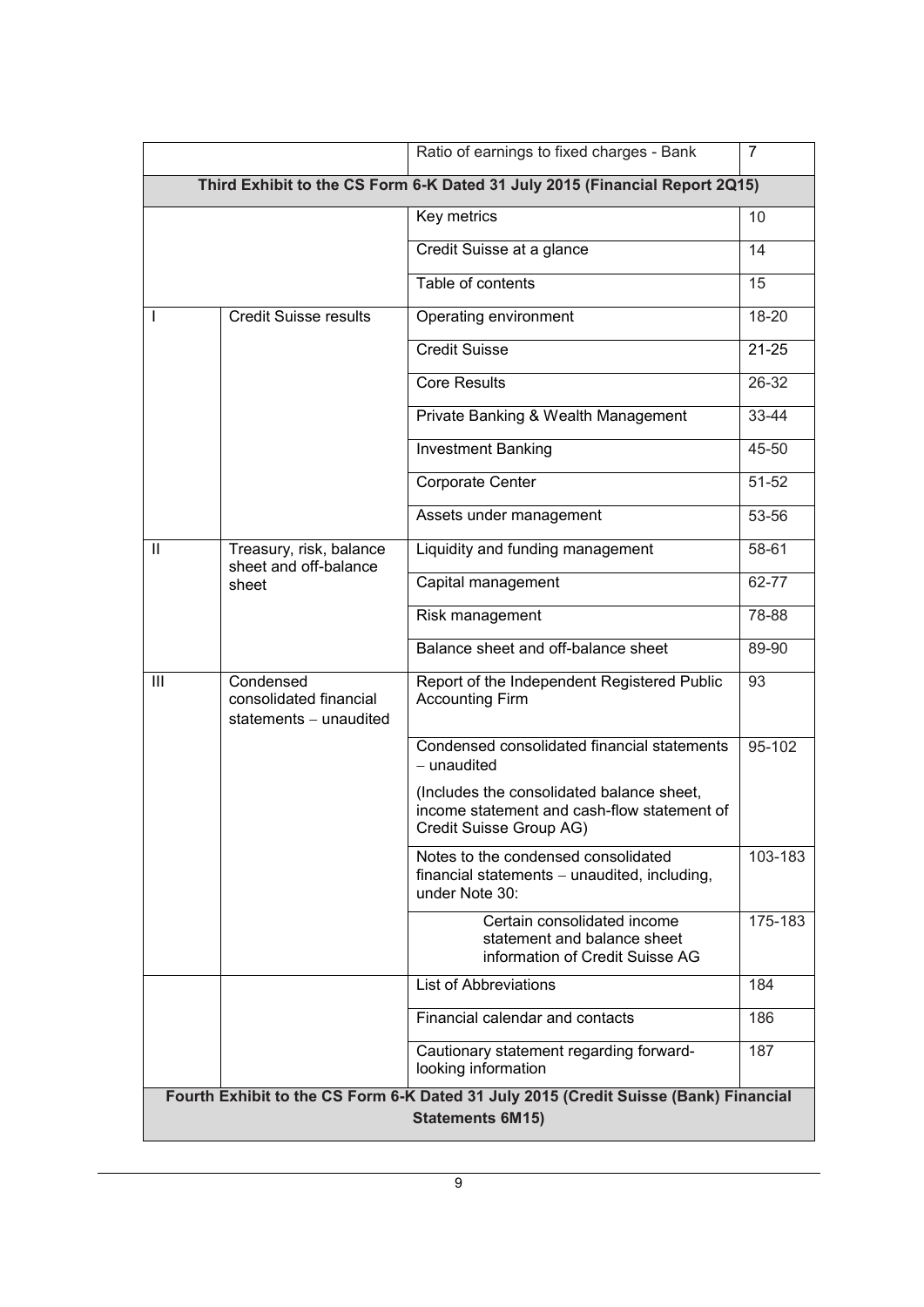|              |                                                                 | Ratio of earnings to fixed charges - Bank                                                                           | 7         |
|--------------|-----------------------------------------------------------------|---------------------------------------------------------------------------------------------------------------------|-----------|
|              |                                                                 | Third Exhibit to the CS Form 6-K Dated 31 July 2015 (Financial Report 2Q15)                                         |           |
|              |                                                                 | Key metrics                                                                                                         | 10        |
|              |                                                                 | Credit Suisse at a glance                                                                                           | 14        |
|              |                                                                 | Table of contents                                                                                                   | 15        |
|              | <b>Credit Suisse results</b>                                    | Operating environment                                                                                               | 18-20     |
|              |                                                                 | <b>Credit Suisse</b>                                                                                                | $21 - 25$ |
|              |                                                                 | <b>Core Results</b>                                                                                                 | 26-32     |
|              |                                                                 | Private Banking & Wealth Management                                                                                 | 33-44     |
|              |                                                                 | <b>Investment Banking</b>                                                                                           | 45-50     |
|              |                                                                 | Corporate Center                                                                                                    | $51 - 52$ |
|              |                                                                 | Assets under management                                                                                             | 53-56     |
| $\mathbf{I}$ | Treasury, risk, balance<br>sheet and off-balance                | Liquidity and funding management                                                                                    | 58-61     |
|              | sheet                                                           | Capital management                                                                                                  | 62-77     |
|              |                                                                 | Risk management                                                                                                     | 78-88     |
|              |                                                                 | Balance sheet and off-balance sheet                                                                                 | 89-90     |
| Ш            | Condensed<br>consolidated financial<br>statements $-$ unaudited | Report of the Independent Registered Public<br><b>Accounting Firm</b>                                               | 93        |
|              |                                                                 | Condensed consolidated financial statements<br>- unaudited                                                          | 95-102    |
|              |                                                                 | (Includes the consolidated balance sheet,<br>income statement and cash-flow statement of<br>Credit Suisse Group AG) |           |
|              |                                                                 | Notes to the condensed consolidated<br>financial statements $-$ unaudited, including,<br>under Note 30:             | 103-183   |
|              |                                                                 | Certain consolidated income<br>statement and balance sheet<br>information of Credit Suisse AG                       | 175-183   |
|              |                                                                 | <b>List of Abbreviations</b>                                                                                        | 184       |
|              |                                                                 | Financial calendar and contacts                                                                                     | 186       |
|              |                                                                 | Cautionary statement regarding forward-<br>looking information                                                      | 187       |
|              |                                                                 | Fourth Exhibit to the CS Form 6-K Dated 31 July 2015 (Credit Suisse (Bank) Financial<br><b>Statements 6M15)</b>     |           |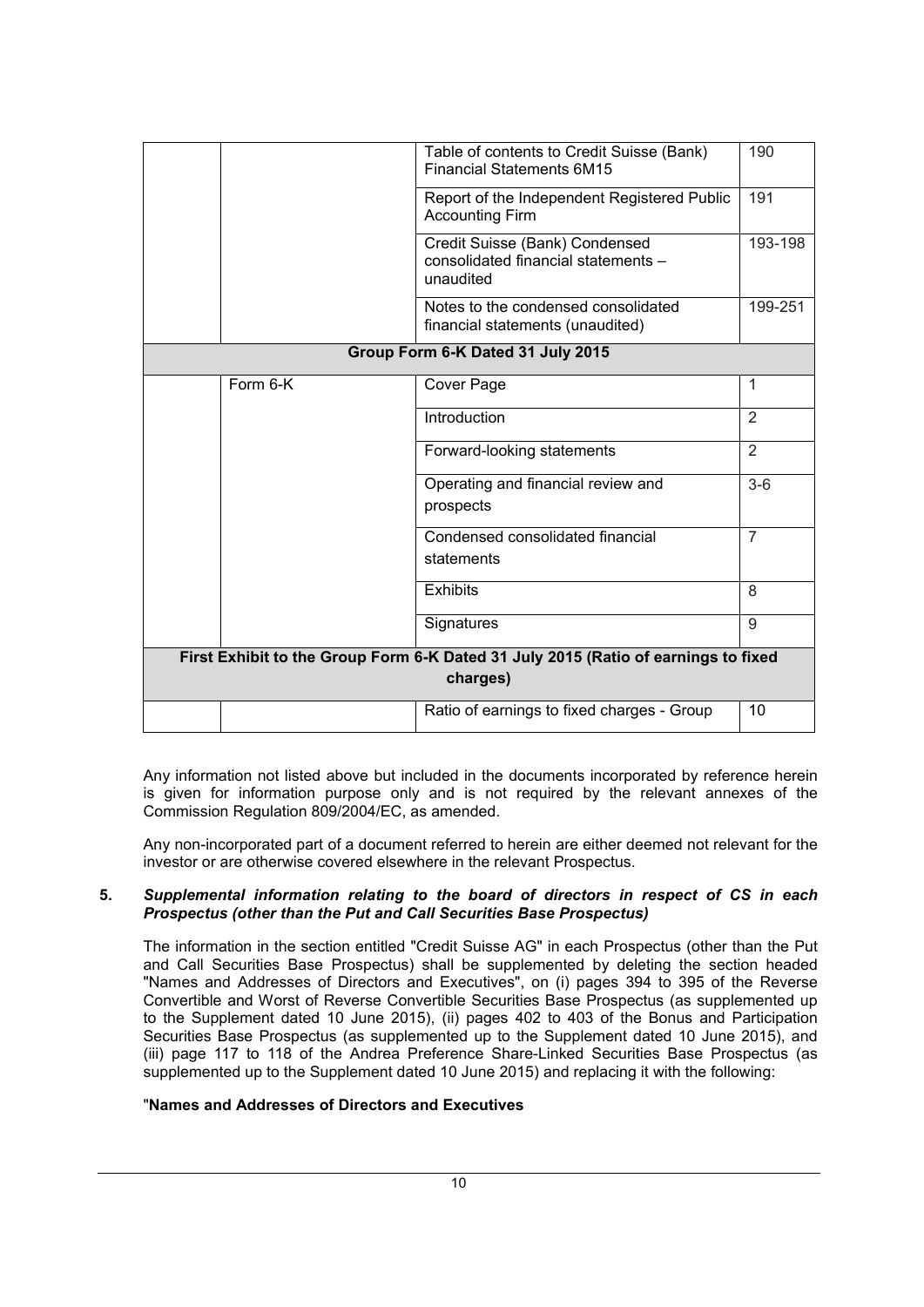|                                                                                                | Table of contents to Credit Suisse (Bank)<br><b>Financial Statements 6M15</b>      | 190            |  |
|------------------------------------------------------------------------------------------------|------------------------------------------------------------------------------------|----------------|--|
|                                                                                                | Report of the Independent Registered Public<br><b>Accounting Firm</b>              | 191            |  |
|                                                                                                | Credit Suisse (Bank) Condensed<br>consolidated financial statements -<br>unaudited | 193-198        |  |
|                                                                                                | Notes to the condensed consolidated<br>financial statements (unaudited)            | 199-251        |  |
|                                                                                                | Group Form 6-K Dated 31 July 2015                                                  |                |  |
| Form 6-K                                                                                       | Cover Page                                                                         | 1              |  |
|                                                                                                | Introduction                                                                       | $\overline{2}$ |  |
|                                                                                                | Forward-looking statements                                                         | $\overline{2}$ |  |
|                                                                                                | Operating and financial review and<br>prospects                                    | $3-6$          |  |
|                                                                                                | Condensed consolidated financial<br>statements                                     | $\overline{7}$ |  |
|                                                                                                | <b>Exhibits</b>                                                                    | 8              |  |
|                                                                                                | Signatures                                                                         | 9              |  |
| First Exhibit to the Group Form 6-K Dated 31 July 2015 (Ratio of earnings to fixed<br>charges) |                                                                                    |                |  |
|                                                                                                | Ratio of earnings to fixed charges - Group                                         | 10             |  |

Any information not listed above but included in the documents incorporated by reference herein is given for information purpose only and is not required by the relevant annexes of the Commission Regulation 809/2004/EC, as amended.

Any non-incorporated part of a document referred to herein are either deemed not relevant for the investor or are otherwise covered elsewhere in the relevant Prospectus.

#### **5.** *Supplemental information relating to the board of directors in respect of CS in each Prospectus (other than the Put and Call Securities Base Prospectus)*

The information in the section entitled "Credit Suisse AG" in each Prospectus (other than the Put and Call Securities Base Prospectus) shall be supplemented by deleting the section headed "Names and Addresses of Directors and Executives", on (i) pages 394 to 395 of the Reverse Convertible and Worst of Reverse Convertible Securities Base Prospectus (as supplemented up to the Supplement dated 10 June 2015), (ii) pages 402 to 403 of the Bonus and Participation Securities Base Prospectus (as supplemented up to the Supplement dated 10 June 2015), and (iii) page 117 to 118 of the Andrea Preference Share-Linked Securities Base Prospectus (as supplemented up to the Supplement dated 10 June 2015) and replacing it with the following:

## "**Names and Addresses of Directors and Executives**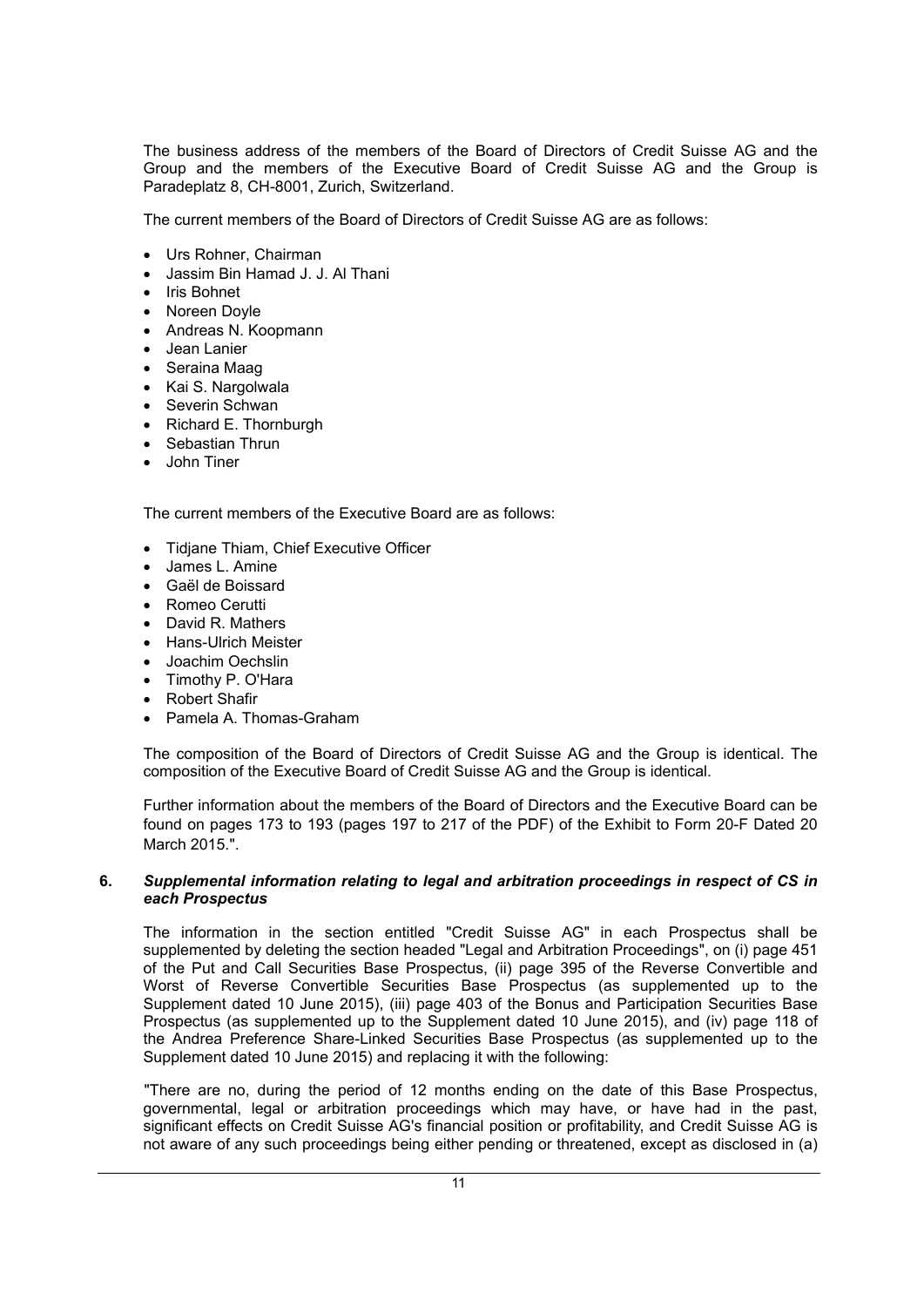The business address of the members of the Board of Directors of Credit Suisse AG and the Group and the members of the Executive Board of Credit Suisse AG and the Group is Paradeplatz 8, CH-8001, Zurich, Switzerland.

The current members of the Board of Directors of Credit Suisse AG are as follows:

- Urs Rohner, Chairman
- Jassim Bin Hamad J. J. Al Thani
- Iris Bohnet
- Noreen Doyle
- Andreas N. Koopmann
- Jean Lanier
- Seraina Maag
- Kai S. Nargolwala
- Severin Schwan
- Richard E. Thornburgh
- Sebastian Thrun
- John Tiner

The current members of the Executive Board are as follows:

- Tidjane Thiam, Chief Executive Officer
- James L. Amine
- Gaël de Boissard
- Romeo Cerutti
- David R. Mathers
- Hans-Ulrich Meister
- Joachim Oechslin
- Timothy P. O'Hara
- Robert Shafir
- Pamela A. Thomas-Graham

The composition of the Board of Directors of Credit Suisse AG and the Group is identical. The composition of the Executive Board of Credit Suisse AG and the Group is identical.

Further information about the members of the Board of Directors and the Executive Board can be found on pages 173 to 193 (pages 197 to 217 of the PDF) of the Exhibit to Form 20-F Dated 20 March 2015.".

#### **6.** *Supplemental information relating to legal and arbitration proceedings in respect of CS in each Prospectus*

The information in the section entitled "Credit Suisse AG" in each Prospectus shall be supplemented by deleting the section headed "Legal and Arbitration Proceedings", on (i) page 451 of the Put and Call Securities Base Prospectus, (ii) page 395 of the Reverse Convertible and Worst of Reverse Convertible Securities Base Prospectus (as supplemented up to the Supplement dated 10 June 2015), (iii) page 403 of the Bonus and Participation Securities Base Prospectus (as supplemented up to the Supplement dated 10 June 2015), and (iv) page 118 of the Andrea Preference Share-Linked Securities Base Prospectus (as supplemented up to the Supplement dated 10 June 2015) and replacing it with the following:

"There are no, during the period of 12 months ending on the date of this Base Prospectus, governmental, legal or arbitration proceedings which may have, or have had in the past, significant effects on Credit Suisse AG's financial position or profitability, and Credit Suisse AG is not aware of any such proceedings being either pending or threatened, except as disclosed in (a)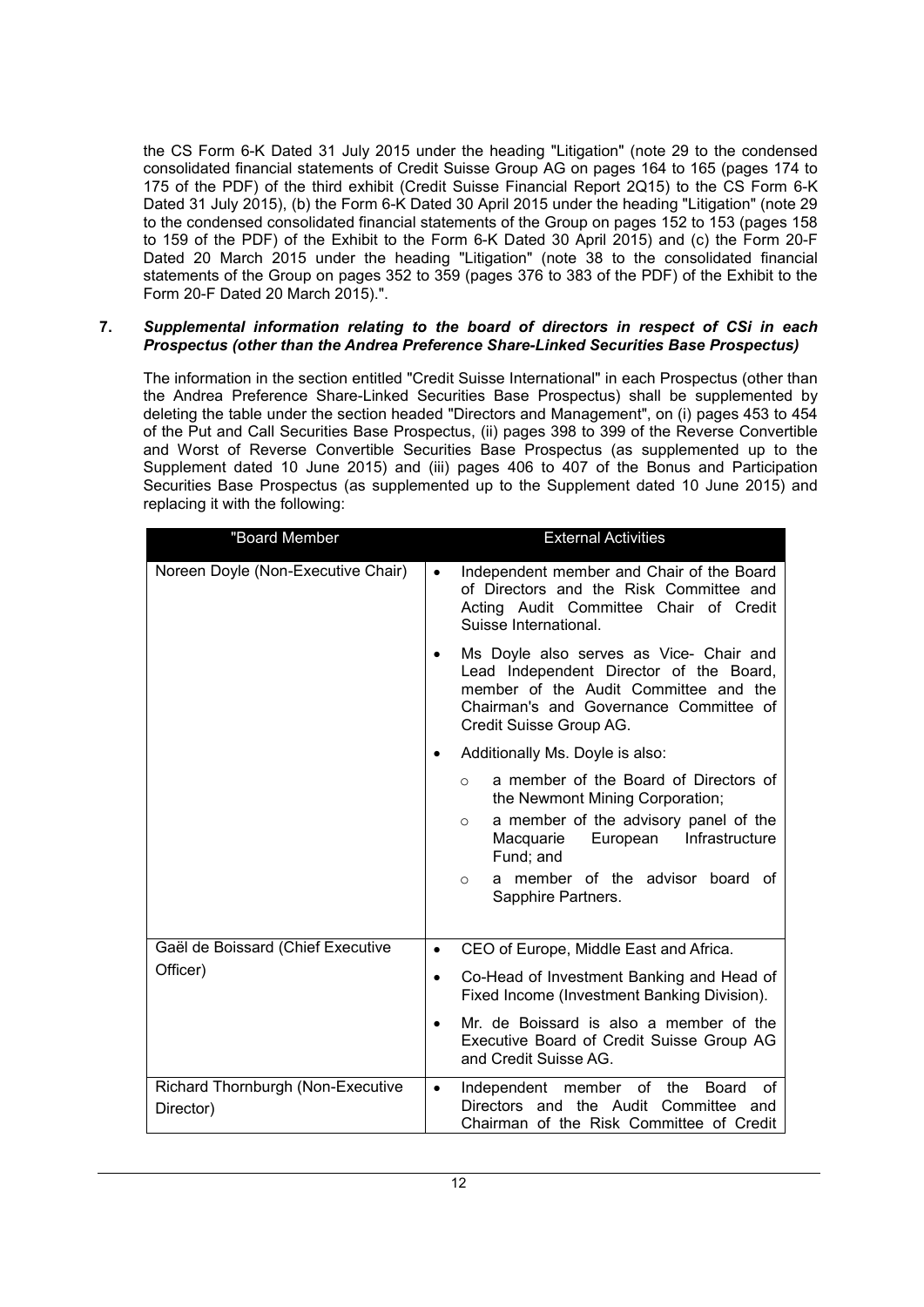the CS Form 6-K Dated 31 July 2015 under the heading "Litigation" (note 29 to the condensed consolidated financial statements of Credit Suisse Group AG on pages 164 to 165 (pages 174 to 175 of the PDF) of the third exhibit (Credit Suisse Financial Report 2Q15) to the CS Form 6-K Dated 31 July 2015), (b) the Form 6-K Dated 30 April 2015 under the heading "Litigation" (note 29 to the condensed consolidated financial statements of the Group on pages 152 to 153 (pages 158 to 159 of the PDF) of the Exhibit to the Form 6-K Dated 30 April 2015) and (c) the Form 20-F Dated 20 March 2015 under the heading "Litigation" (note 38 to the consolidated financial statements of the Group on pages 352 to 359 (pages 376 to 383 of the PDF) of the Exhibit to the Form 20-F Dated 20 March 2015).".

#### **7.** *Supplemental information relating to the board of directors in respect of CSi in each Prospectus (other than the Andrea Preference Share-Linked Securities Base Prospectus)*

The information in the section entitled "Credit Suisse International" in each Prospectus (other than the Andrea Preference Share-Linked Securities Base Prospectus) shall be supplemented by deleting the table under the section headed "Directors and Management", on (i) pages 453 to 454 of the Put and Call Securities Base Prospectus, (ii) pages 398 to 399 of the Reverse Convertible and Worst of Reverse Convertible Securities Base Prospectus (as supplemented up to the Supplement dated 10 June 2015) and (iii) pages 406 to 407 of the Bonus and Participation Securities Base Prospectus (as supplemented up to the Supplement dated 10 June 2015) and replacing it with the following:

| "Board Member                                  | <b>External Activities</b>                                                                                                                                                                            |
|------------------------------------------------|-------------------------------------------------------------------------------------------------------------------------------------------------------------------------------------------------------|
| Noreen Doyle (Non-Executive Chair)             | Independent member and Chair of the Board<br>$\bullet$<br>of Directors and the Risk Committee and<br>Acting Audit Committee Chair of Credit<br>Suisse International.                                  |
|                                                | Ms Doyle also serves as Vice- Chair and<br>٠<br>Lead Independent Director of the Board,<br>member of the Audit Committee and the<br>Chairman's and Governance Committee of<br>Credit Suisse Group AG. |
|                                                | Additionally Ms. Doyle is also:                                                                                                                                                                       |
|                                                | a member of the Board of Directors of<br>$\circ$<br>the Newmont Mining Corporation;                                                                                                                   |
|                                                | a member of the advisory panel of the<br>$\circ$<br>Infrastructure<br>Macquarie<br>European<br>Fund; and                                                                                              |
|                                                | a member of the advisor board of<br>$\circ$<br>Sapphire Partners.                                                                                                                                     |
| Gaël de Boissard (Chief Executive              | CEO of Europe, Middle East and Africa.<br>$\bullet$                                                                                                                                                   |
| Officer)                                       | Co-Head of Investment Banking and Head of<br>$\bullet$<br>Fixed Income (Investment Banking Division).                                                                                                 |
|                                                | Mr. de Boissard is also a member of the<br>$\bullet$<br>Executive Board of Credit Suisse Group AG<br>and Credit Suisse AG.                                                                            |
| Richard Thornburgh (Non-Executive<br>Director) | Independent<br>member<br>οf<br>the<br>Board<br>οf<br>$\bullet$<br>Directors and the Audit<br>Committee and<br>Chairman of the Risk Committee of Credit                                                |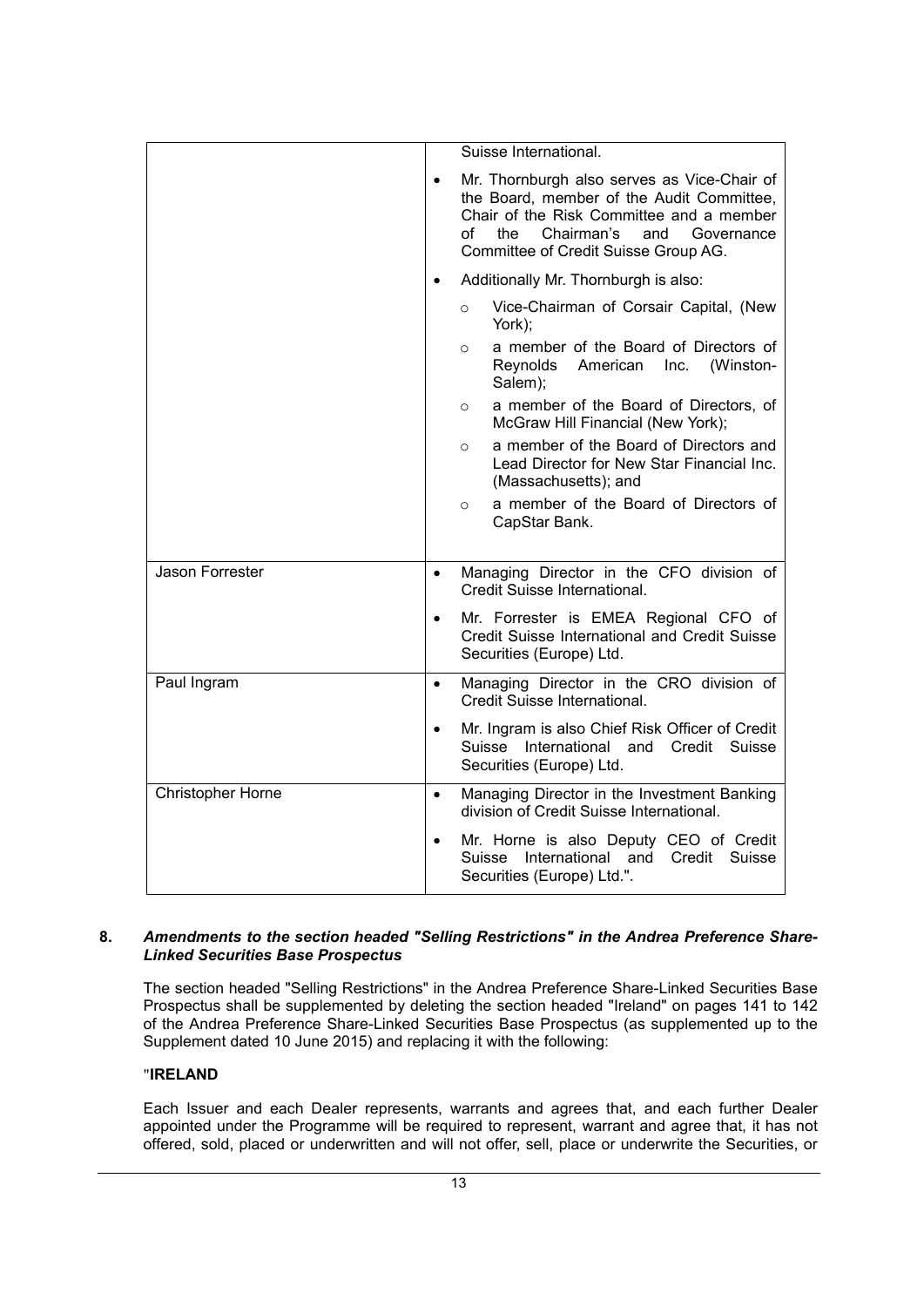|                          |           | Suisse International.                                                                                                                                                                                                        |
|--------------------------|-----------|------------------------------------------------------------------------------------------------------------------------------------------------------------------------------------------------------------------------------|
|                          | $\bullet$ | Mr. Thornburgh also serves as Vice-Chair of<br>the Board, member of the Audit Committee,<br>Chair of the Risk Committee and a member<br>of<br>the<br>Chairman's<br>and<br>Governance<br>Committee of Credit Suisse Group AG. |
|                          |           | Additionally Mr. Thornburgh is also:                                                                                                                                                                                         |
|                          |           | Vice-Chairman of Corsair Capital, (New<br>$\circ$<br>York);                                                                                                                                                                  |
|                          |           | a member of the Board of Directors of<br>$\circ$<br>Reynolds American<br>(Winston-<br>Inc.<br>Salem);                                                                                                                        |
|                          |           | a member of the Board of Directors, of<br>$\circ$<br>McGraw Hill Financial (New York);                                                                                                                                       |
|                          |           | a member of the Board of Directors and<br>$\circ$<br>Lead Director for New Star Financial Inc.<br>(Massachusetts); and                                                                                                       |
|                          |           | a member of the Board of Directors of<br>$\circ$<br>CapStar Bank.                                                                                                                                                            |
| Jason Forrester          | $\bullet$ | Managing Director in the CFO division of<br>Credit Suisse International.                                                                                                                                                     |
|                          | $\bullet$ | Mr. Forrester is EMEA Regional CFO of<br>Credit Suisse International and Credit Suisse<br>Securities (Europe) Ltd.                                                                                                           |
| Paul Ingram              | $\bullet$ | Managing Director in the CRO division of<br>Credit Suisse International.                                                                                                                                                     |
|                          | $\bullet$ | Mr. Ingram is also Chief Risk Officer of Credit<br>International<br>Credit<br>Suisse<br>Suisse<br>and<br>Securities (Europe) Ltd.                                                                                            |
| <b>Christopher Horne</b> | $\bullet$ | Managing Director in the Investment Banking<br>division of Credit Suisse International.                                                                                                                                      |
|                          | $\bullet$ | Mr. Horne is also Deputy CEO of Credit<br>Suisse International and Credit<br>Suisse<br>Securities (Europe) Ltd.".                                                                                                            |

## **8.** *Amendments to the section headed "Selling Restrictions" in the Andrea Preference Share-Linked Securities Base Prospectus*

The section headed "Selling Restrictions" in the Andrea Preference Share-Linked Securities Base Prospectus shall be supplemented by deleting the section headed "Ireland" on pages 141 to 142 of the Andrea Preference Share-Linked Securities Base Prospectus (as supplemented up to the Supplement dated 10 June 2015) and replacing it with the following:

## "**IRELAND**

Each Issuer and each Dealer represents, warrants and agrees that, and each further Dealer appointed under the Programme will be required to represent, warrant and agree that, it has not offered, sold, placed or underwritten and will not offer, sell, place or underwrite the Securities, or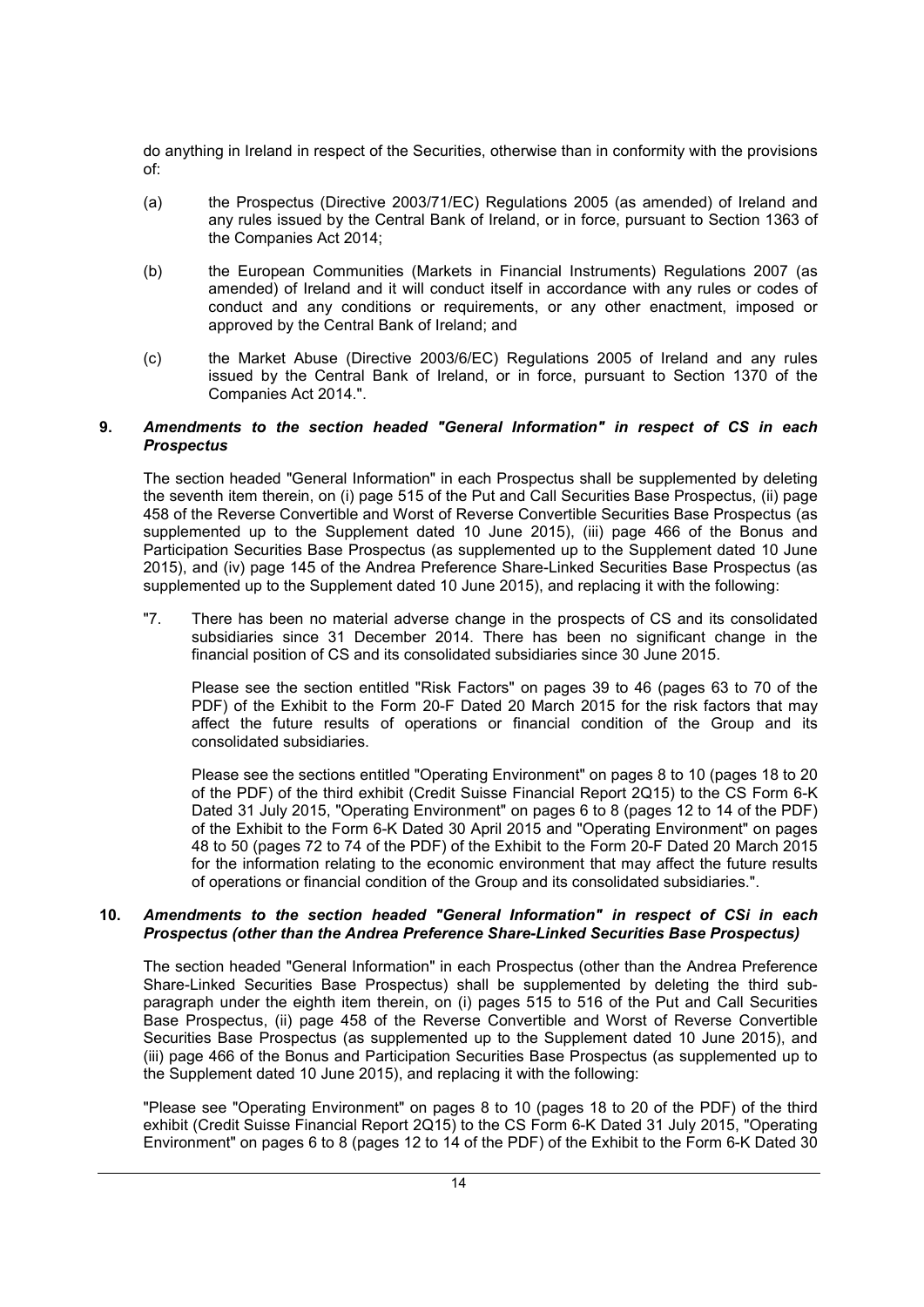do anything in Ireland in respect of the Securities, otherwise than in conformity with the provisions of:

- (a) the Prospectus (Directive 2003/71/EC) Regulations 2005 (as amended) of Ireland and any rules issued by the Central Bank of Ireland, or in force, pursuant to Section 1363 of the Companies Act 2014;
- (b) the European Communities (Markets in Financial Instruments) Regulations 2007 (as amended) of Ireland and it will conduct itself in accordance with any rules or codes of conduct and any conditions or requirements, or any other enactment, imposed or approved by the Central Bank of Ireland; and
- (c) the Market Abuse (Directive 2003/6/EC) Regulations 2005 of Ireland and any rules issued by the Central Bank of Ireland, or in force, pursuant to Section 1370 of the Companies Act 2014.".

#### **9.** *Amendments to the section headed "General Information" in respect of CS in each Prospectus*

The section headed "General Information" in each Prospectus shall be supplemented by deleting the seventh item therein, on (i) page 515 of the Put and Call Securities Base Prospectus, (ii) page 458 of the Reverse Convertible and Worst of Reverse Convertible Securities Base Prospectus (as supplemented up to the Supplement dated 10 June 2015), (iii) page 466 of the Bonus and Participation Securities Base Prospectus (as supplemented up to the Supplement dated 10 June 2015), and (iv) page 145 of the Andrea Preference Share-Linked Securities Base Prospectus (as supplemented up to the Supplement dated 10 June 2015), and replacing it with the following:

"7. There has been no material adverse change in the prospects of CS and its consolidated subsidiaries since 31 December 2014. There has been no significant change in the financial position of CS and its consolidated subsidiaries since 30 June 2015.

Please see the section entitled "Risk Factors" on pages 39 to 46 (pages 63 to 70 of the PDF) of the Exhibit to the Form 20-F Dated 20 March 2015 for the risk factors that may affect the future results of operations or financial condition of the Group and its consolidated subsidiaries.

Please see the sections entitled "Operating Environment" on pages 8 to 10 (pages 18 to 20 of the PDF) of the third exhibit (Credit Suisse Financial Report 2Q15) to the CS Form 6-K Dated 31 July 2015, "Operating Environment" on pages 6 to 8 (pages 12 to 14 of the PDF) of the Exhibit to the Form 6-K Dated 30 April 2015 and "Operating Environment" on pages 48 to 50 (pages 72 to 74 of the PDF) of the Exhibit to the Form 20-F Dated 20 March 2015 for the information relating to the economic environment that may affect the future results of operations or financial condition of the Group and its consolidated subsidiaries.".

#### **10.** *Amendments to the section headed "General Information" in respect of CSi in each Prospectus (other than the Andrea Preference Share-Linked Securities Base Prospectus)*

The section headed "General Information" in each Prospectus (other than the Andrea Preference Share-Linked Securities Base Prospectus) shall be supplemented by deleting the third subparagraph under the eighth item therein, on (i) pages 515 to 516 of the Put and Call Securities Base Prospectus, (ii) page 458 of the Reverse Convertible and Worst of Reverse Convertible Securities Base Prospectus (as supplemented up to the Supplement dated 10 June 2015), and (iii) page 466 of the Bonus and Participation Securities Base Prospectus (as supplemented up to the Supplement dated 10 June 2015), and replacing it with the following:

"Please see "Operating Environment" on pages 8 to 10 (pages 18 to 20 of the PDF) of the third exhibit (Credit Suisse Financial Report 2Q15) to the CS Form 6-K Dated 31 July 2015, "Operating Environment" on pages 6 to 8 (pages 12 to 14 of the PDF) of the Exhibit to the Form 6-K Dated 30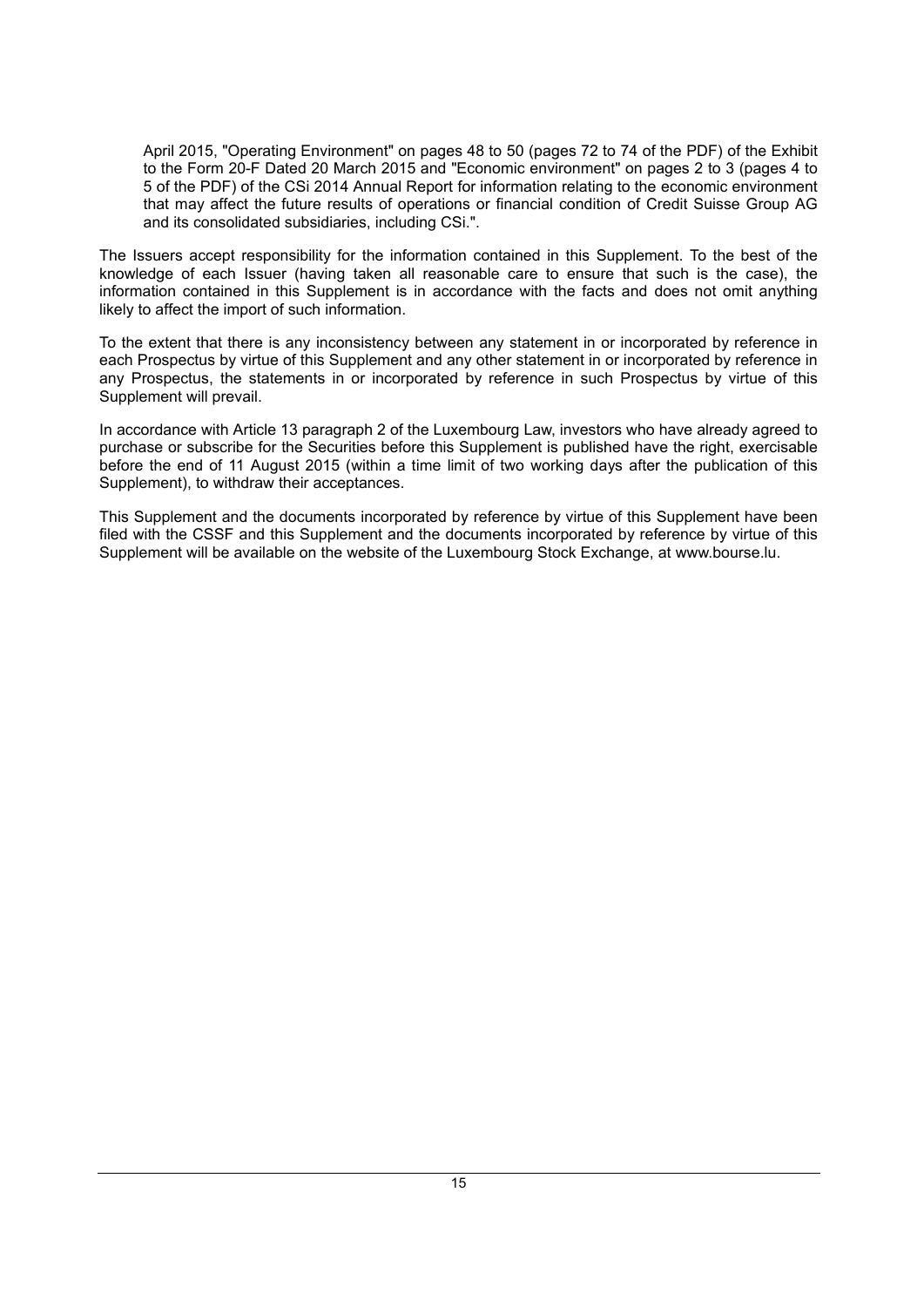April 2015, "Operating Environment" on pages 48 to 50 (pages 72 to 74 of the PDF) of the Exhibit to the Form 20-F Dated 20 March 2015 and "Economic environment" on pages 2 to 3 (pages 4 to 5 of the PDF) of the CSi 2014 Annual Report for information relating to the economic environment that may affect the future results of operations or financial condition of Credit Suisse Group AG and its consolidated subsidiaries, including CSi.".

The Issuers accept responsibility for the information contained in this Supplement. To the best of the knowledge of each Issuer (having taken all reasonable care to ensure that such is the case), the information contained in this Supplement is in accordance with the facts and does not omit anything likely to affect the import of such information.

To the extent that there is any inconsistency between any statement in or incorporated by reference in each Prospectus by virtue of this Supplement and any other statement in or incorporated by reference in any Prospectus, the statements in or incorporated by reference in such Prospectus by virtue of this Supplement will prevail.

In accordance with Article 13 paragraph 2 of the Luxembourg Law, investors who have already agreed to purchase or subscribe for the Securities before this Supplement is published have the right, exercisable before the end of 11 August 2015 (within a time limit of two working days after the publication of this Supplement), to withdraw their acceptances.

This Supplement and the documents incorporated by reference by virtue of this Supplement have been filed with the CSSF and this Supplement and the documents incorporated by reference by virtue of this Supplement will be available on the website of the Luxembourg Stock Exchange, at [www.bourse.lu.](http://www.bourse.lu/)